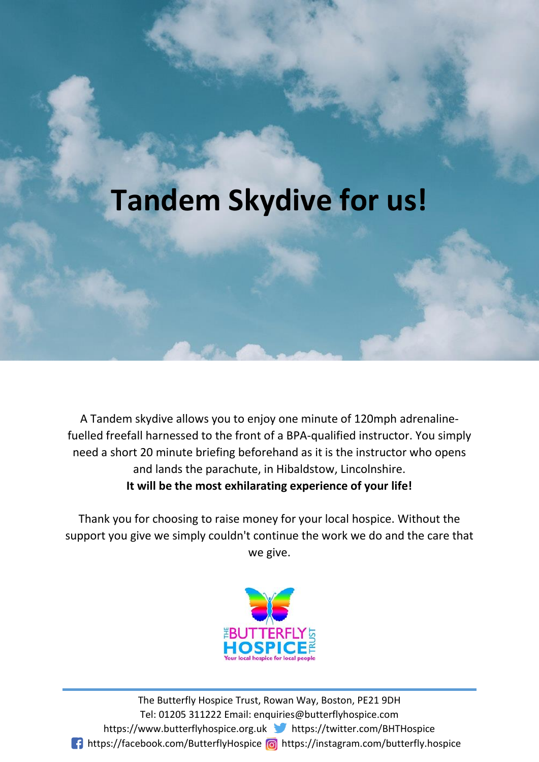# **Tandem Skydive for us!**

A Tandem skydive allows you to enjoy one minute of 120mph adrenalinefuelled freefall harnessed to the front of a BPA-qualified instructor. You simply need a short 20 minute briefing beforehand as it is the instructor who opens and lands the parachute, in Hibaldstow, Lincolnshire. **It will be the most exhilarating experience of your life!**

Thank you for choosing to raise money for your local hospice. Without the support you give we simply couldn't continue the work we do and the care that we give.



https://www.butterflyhospice.org.uk https://twitter.com/BHTHospice The Butterfly Hospice Trust, Rowan Way, Boston, PE21 9DH Tel: 01205 311222 Email: enquiries@butterflyhospice.com **1** https://facebook.com/ButterflyHospice a https://instagram.com/butterfly.hospice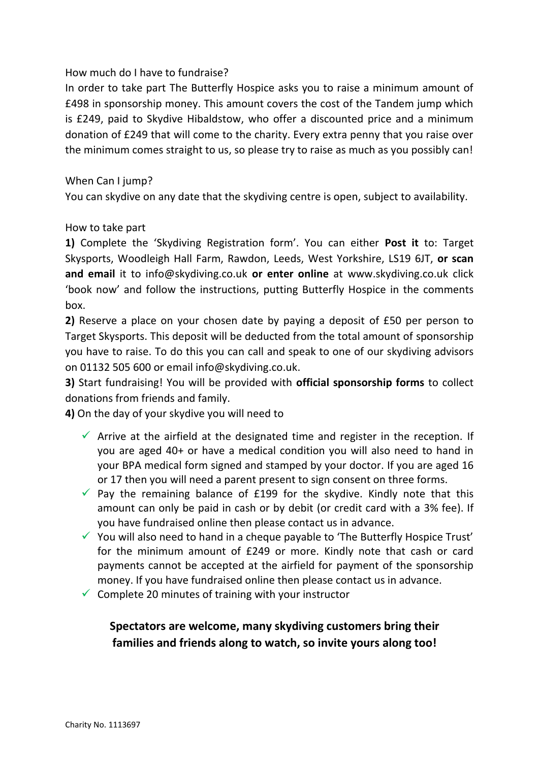### How much do I have to fundraise?

In order to take part The Butterfly Hospice asks you to raise a minimum amount of £498 in sponsorship money. This amount covers the cost of the Tandem jump which is £249, paid to Skydive Hibaldstow, who offer a discounted price and a minimum donation of £249 that will come to the charity. Every extra penny that you raise over the minimum comes straight to us, so please try to raise as much as you possibly can!

#### When Can I jump?

You can skydive on any date that the skydiving centre is open, subject to availability.

#### How to take part

**1)** Complete the 'Skydiving Registration form'. You can either **Post it** to: Target Skysports, Woodleigh Hall Farm, Rawdon, Leeds, West Yorkshire, LS19 6JT, **or scan and email** it to info@skydiving.co.uk **or enter online** at www.skydiving.co.uk click 'book now' and follow the instructions, putting Butterfly Hospice in the comments box.

**2)** Reserve a place on your chosen date by paying a deposit of £50 per person to Target Skysports. This deposit will be deducted from the total amount of sponsorship you have to raise. To do this you can call and speak to one of our skydiving advisors on 01132 505 600 or email info@skydiving.co.uk.

**3)** Start fundraising! You will be provided with **official sponsorship forms** to collect donations from friends and family.

**4)** On the day of your skydive you will need to

- $\checkmark$  Arrive at the airfield at the designated time and register in the reception. If you are aged 40+ or have a medical condition you will also need to hand in your BPA medical form signed and stamped by your doctor. If you are aged 16 or 17 then you will need a parent present to sign consent on three forms.
- $\checkmark$  Pay the remaining balance of £199 for the skydive. Kindly note that this amount can only be paid in cash or by debit (or credit card with a 3% fee). If you have fundraised online then please contact us in advance.
- $\checkmark$  You will also need to hand in a cheque payable to 'The Butterfly Hospice Trust' for the minimum amount of £249 or more. Kindly note that cash or card payments cannot be accepted at the airfield for payment of the sponsorship money. If you have fundraised online then please contact us in advance.
- $\checkmark$  Complete 20 minutes of training with your instructor

## **Spectators are welcome, many skydiving customers bring their families and friends along to watch, so invite yours along too!**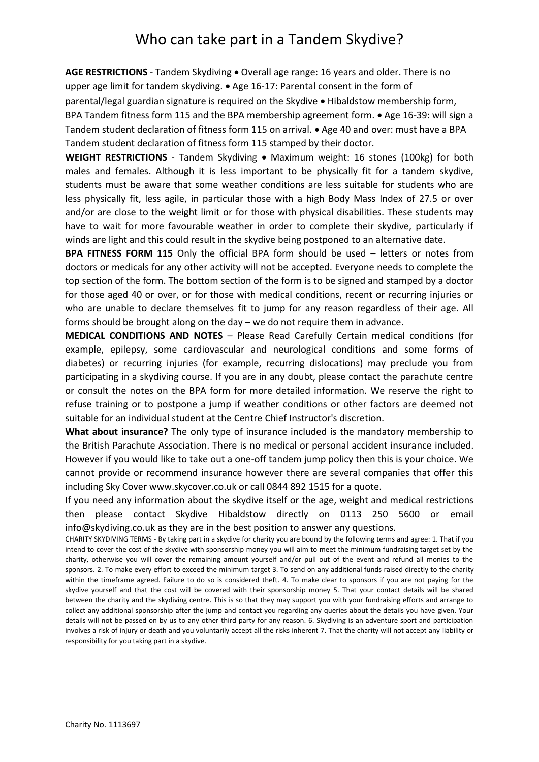# Who can take part in a Tandem Skydive?

AGE RESTRICTIONS - Tandem Skydiving . Overall age range: 16 years and older. There is no upper age limit for tandem skydiving.  $\bullet$  Age 16-17: Parental consent in the form of parental/legal guardian signature is required on the Skydive • Hibaldstow membership form, BPA Tandem fitness form 115 and the BPA membership agreement form. • Age 16-39: will sign a Tandem student declaration of fitness form 115 on arrival. • Age 40 and over: must have a BPA Tandem student declaration of fitness form 115 stamped by their doctor.

**WEIGHT RESTRICTIONS** - Tandem Skydiving . Maximum weight: 16 stones (100kg) for both males and females. Although it is less important to be physically fit for a tandem skydive, students must be aware that some weather conditions are less suitable for students who are less physically fit, less agile, in particular those with a high Body Mass Index of 27.5 or over and/or are close to the weight limit or for those with physical disabilities. These students may have to wait for more favourable weather in order to complete their skydive, particularly if winds are light and this could result in the skydive being postponed to an alternative date.

**BPA FITNESS FORM 115** Only the official BPA form should be used – letters or notes from doctors or medicals for any other activity will not be accepted. Everyone needs to complete the top section of the form. The bottom section of the form is to be signed and stamped by a doctor for those aged 40 or over, or for those with medical conditions, recent or recurring injuries or who are unable to declare themselves fit to jump for any reason regardless of their age. All forms should be brought along on the day – we do not require them in advance.

**MEDICAL CONDITIONS AND NOTES** – Please Read Carefully Certain medical conditions (for example, epilepsy, some cardiovascular and neurological conditions and some forms of diabetes) or recurring injuries (for example, recurring dislocations) may preclude you from participating in a skydiving course. If you are in any doubt, please contact the parachute centre or consult the notes on the BPA form for more detailed information. We reserve the right to refuse training or to postpone a jump if weather conditions or other factors are deemed not suitable for an individual student at the Centre Chief Instructor's discretion.

**What about insurance?** The only type of insurance included is the mandatory membership to the British Parachute Association. There is no medical or personal accident insurance included. However if you would like to take out a one-off tandem jump policy then this is your choice. We cannot provide or recommend insurance however there are several companies that offer this including Sky Cover www.skycover.co.uk or call 0844 892 1515 for a quote.

If you need any information about the skydive itself or the age, weight and medical restrictions then please contact Skydive Hibaldstow directly on 0113 250 5600 or email info@skydiving.co.uk as they are in the best position to answer any questions.

CHARITY SKYDIVING TERMS - By taking part in a skydive for charity you are bound by the following terms and agree: 1. That if you intend to cover the cost of the skydive with sponsorship money you will aim to meet the minimum fundraising target set by the charity, otherwise you will cover the remaining amount yourself and/or pull out of the event and refund all monies to the sponsors. 2. To make every effort to exceed the minimum target 3. To send on any additional funds raised directly to the charity within the timeframe agreed. Failure to do so is considered theft. 4. To make clear to sponsors if you are not paying for the skydive yourself and that the cost will be covered with their sponsorship money 5. That your contact details will be shared between the charity and the skydiving centre. This is so that they may support you with your fundraising efforts and arrange to collect any additional sponsorship after the jump and contact you regarding any queries about the details you have given. Your details will not be passed on by us to any other third party for any reason. 6. Skydiving is an adventure sport and participation involves a risk of injury or death and you voluntarily accept all the risks inherent 7. That the charity will not accept any liability or responsibility for you taking part in a skydive.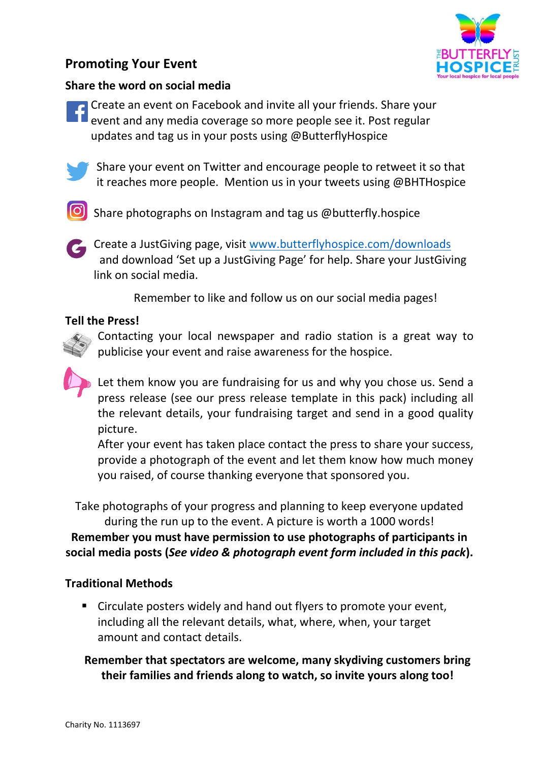# **Promoting Your Event**



### **Share the word on social media**

**<sup>a</sup>** Create an event on Facebook and invite all your friends. Share your event and any media coverage so more people see it. Post regular updates and tag us in your posts using @ButterflyHospice



 Share your event on Twitter and encourage people to retweet it so that it reaches more people. Mention us in your tweets using @BHTHospice

**6** Share photographs on Instagram and tag us @butterfly.hospice



 Create a JustGiving page, visit [www.butterflyhospice.com/downloads](http://www.butterflyhospice.com/downloads) and download 'Set up a JustGiving Page' for help. Share your JustGiving link on social media.

Remember to like and follow us on our social media pages!

### **Tell the Press!**

Contacting your local newspaper and radio station is a great way to publicise your event and raise awareness for the hospice.

Let them know you are fundraising for us and why you chose us. Send a press release (see our press release template in this pack) including all the relevant details, your fundraising target and send in a good quality picture.

After your event has taken place contact the press to share your success, provide a photograph of the event and let them know how much money you raised, of course thanking everyone that sponsored you.

Take photographs of your progress and planning to keep everyone updated during the run up to the event. A picture is worth a 1000 words!

**Remember you must have permission to use photographs of participants in social media posts (***See video & photograph event form included in this pack***).**

### **Traditional Methods**

 Circulate posters widely and hand out flyers to promote your event, including all the relevant details, what, where, when, your target amount and contact details.

### **Remember that spectators are welcome, many skydiving customers bring their families and friends along to watch, so invite yours along too!**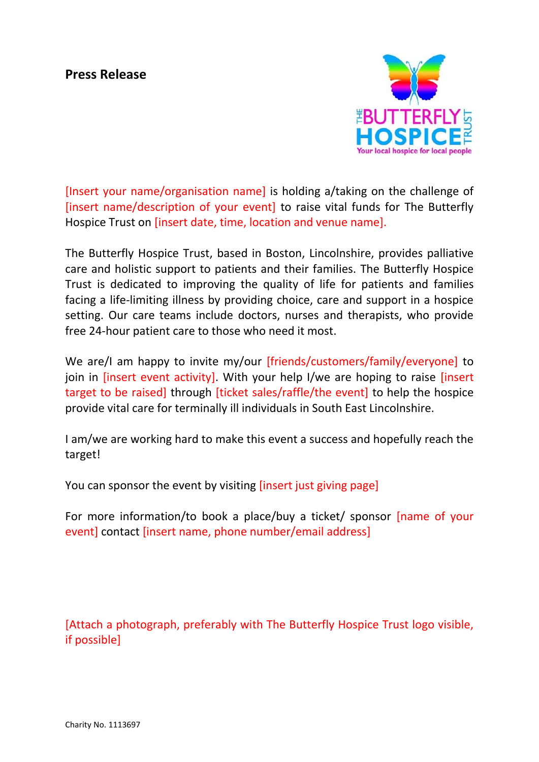## **Press Release**



[Insert your name/organisation name] is holding a/taking on the challenge of [insert name/description of your event] to raise vital funds for The Butterfly Hospice Trust on [insert date, time, location and venue name].

The Butterfly Hospice Trust, based in Boston, Lincolnshire, provides palliative care and holistic support to patients and their families. The Butterfly Hospice Trust is dedicated to improving the quality of life for patients and families facing a life-limiting illness by providing choice, care and support in a hospice setting. Our care teams include doctors, nurses and therapists, who provide free 24-hour patient care to those who need it most.

We are/I am happy to invite my/our [friends/customers/family/everyone] to join in [insert event activity]. With your help I/we are hoping to raise [insert target to be raised] through [ticket sales/raffle/the event] to help the hospice provide vital care for terminally ill individuals in South East Lincolnshire.

I am/we are working hard to make this event a success and hopefully reach the target!

You can sponsor the event by visiting [insert just giving page]

For more information/to book a place/buy a ticket/ sponsor [name of your event] contact [insert name, phone number/email address]

[Attach a photograph, preferably with The Butterfly Hospice Trust logo visible, if possible]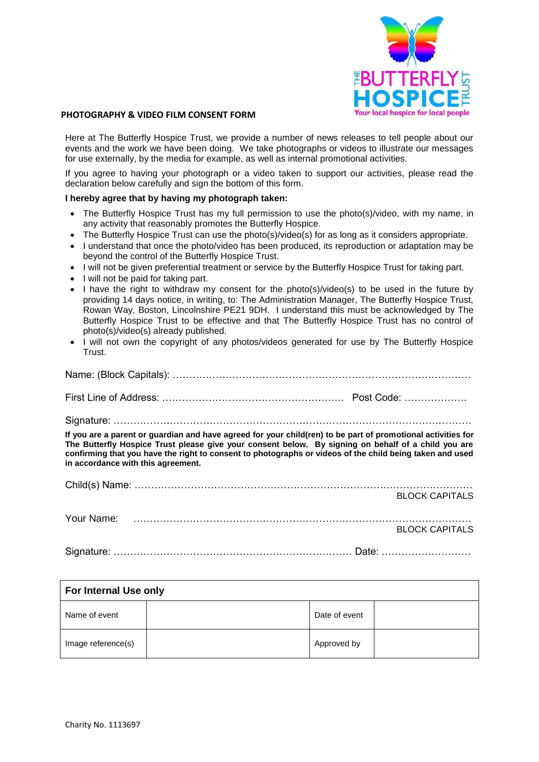

#### **PHOTOGRAPHY & VIDEO FILM CONSENT FORM**

Here at The Butterfly Hospice Trust, we provide a number of news releases to tell people about our events and the work we have been doing. We take photographs or videos to illustrate our messages for use externally, by the media for example, as well as internal promotional activities.

If you agree to having your photograph or a video taken to support our activities, please read the declaration below carefully and sign the bottom of this form.

#### **I hereby agree that by having my photograph taken:**

- The Butterfly Hospice Trust has my full permission to use the photo(s)/video, with my name, in any activity that reasonably promotes the Butterfly Hospice.
- The Butterfly Hospice Trust can use the photo(s)/video(s) for as long as it considers appropriate.
- I understand that once the photo/video has been produced, its reproduction or adaptation may be beyond the control of the Butterfly Hospice Trust.
- I will not be given preferential treatment or service by the Butterfly Hospice Trust for taking part.
- I will not be paid for taking part.
- I have the right to withdraw my consent for the photo(s)/video(s) to be used in the future by providing 14 days notice, in writing, to: The Administration Manager, The Butterfly Hospice Trust, Rowan Way, Boston, Lincolnshire PE21 9DH. I understand this must be acknowledged by The Butterfly Hospice Trust to be effective and that The Butterfly Hospice Trust has no control of photo(s)/video(s) already published.
- I will not own the copyright of any photos/videos generated for use by The Butterfly Hospice Trust.

Name: (Block Capitals): ………………………………………………………………………………

First Line of Address: ………………………………………………. Post Code: ……………….

Signature: ………………………………………………………………………………………………

**If you are a parent or guardian and have agreed for your child(ren) to be part of promotional activities for The Butterfly Hospice Trust please give your consent below. By signing on behalf of a child you are confirming that you have the right to consent to photographs or videos of the child being taken and used in accordance with this agreement.**

|  | <b>BLOCK CAPITALS</b> |
|--|-----------------------|
|  |                       |
|  |                       |
|  | BLOCK CAPITALS        |
|  |                       |
|  |                       |

| For Internal Use only |  |               |  |
|-----------------------|--|---------------|--|
| Name of event         |  | Date of event |  |
| Image reference(s)    |  | Approved by   |  |